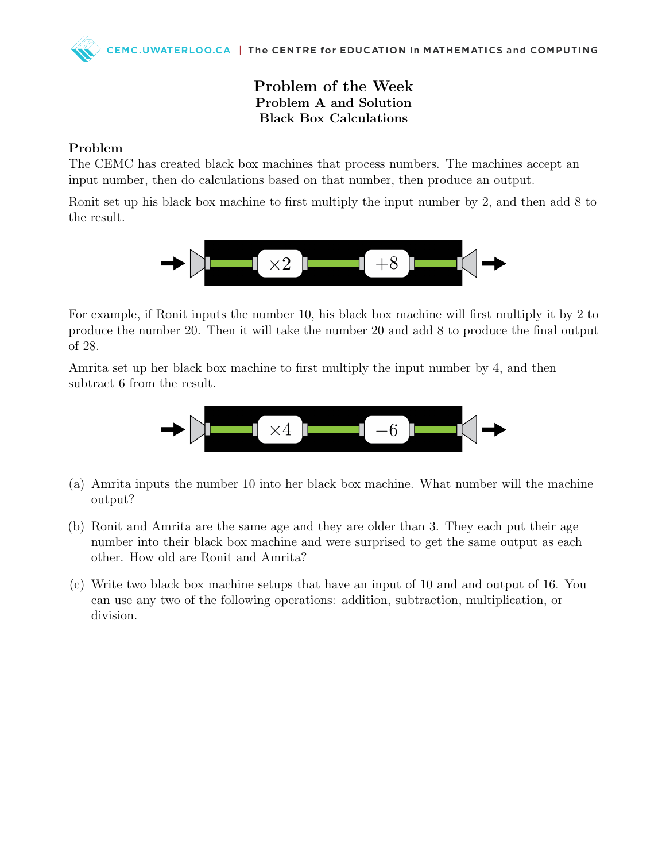# Problem of the Week Problem A and Solution Black Box Calculations

## Problem

The CEMC has created black box machines that process numbers. The machines accept an input number, then do calculations based on that number, then produce an output.

Ronit set up his black box machine to first multiply the input number by 2, and then add 8 to the result.



For example, if Ronit inputs the number 10, his black box machine will first multiply it by 2 to produce the number 20. Then it will take the number 20 and add 8 to produce the final output of 28.

Amrita set up her black box machine to first multiply the input number by 4, and then subtract 6 from the result.



- (a) Amrita inputs the number 10 into her black box machine. What number will the machine output?
- (b) Ronit and Amrita are the same age and they are older than 3. They each put their age number into their black box machine and were surprised to get the same output as each other. How old are Ronit and Amrita?
- (c) Write two black box machine setups that have an input of 10 and and output of 16. You can use any two of the following operations: addition, subtraction, multiplication, or division.